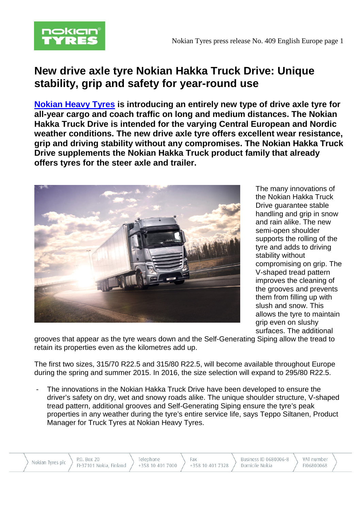

# **New drive axle tyre Nokian Hakka Truck Drive: Unique stability, grip and safety for year-round use**

**[Nokian Heavy Tyres](http://www.nokianheavytyres.com/en/) is introducing an entirely new type of drive axle tyre for all-year cargo and coach traffic on long and medium distances. The Nokian Hakka Truck Drive is intended for the varying Central European and Nordic weather conditions. The new drive axle tyre offers excellent wear resistance, grip and driving stability without any compromises. The Nokian Hakka Truck Drive supplements the Nokian Hakka Truck product family that already offers tyres for the steer axle and trailer.**



The many innovations of the Nokian Hakka Truck Drive guarantee stable handling and grip in snow and rain alike. The new semi-open shoulder supports the rolling of the tyre and adds to driving stability without compromising on grip. The V-shaped tread pattern improves the cleaning of the grooves and prevents them from filling up with slush and snow. This allows the tyre to maintain grip even on slushy surfaces. The additional

grooves that appear as the tyre wears down and the Self-Generating Siping allow the tread to retain its properties even as the kilometres add up.

The first two sizes, 315/70 R22.5 and 315/80 R22.5, will become available throughout Europe during the spring and summer 2015. In 2016, the size selection will expand to 295/80 R22.5.

The innovations in the Nokian Hakka Truck Drive have been developed to ensure the driver's safety on dry, wet and snowy roads alike. The unique shoulder structure, V-shaped tread pattern, additional grooves and Self-Generating Siping ensure the tyre's peak properties in any weather during the tyre's entire service life, says Teppo Siltanen, Product Manager for Truck Tyres at Nokian Heavy Tyres.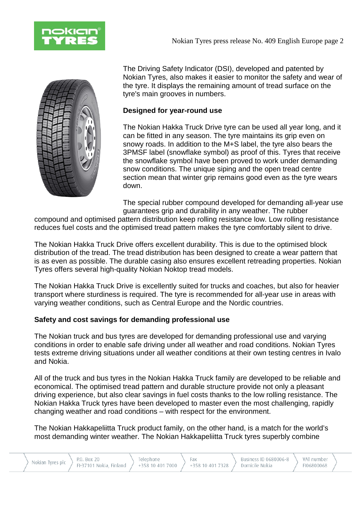



The Driving Safety Indicator (DSI), developed and patented by Nokian Tyres, also makes it easier to monitor the safety and wear of the tyre. It displays the remaining amount of tread surface on the tyre's main grooves in numbers.

# **Designed for year-round use**

The Nokian Hakka Truck Drive tyre can be used all year long, and it can be fitted in any season. The tyre maintains its grip even on snowy roads. In addition to the M+S label, the tyre also bears the 3PMSF label (snowflake symbol) as proof of this. Tyres that receive the snowflake symbol have been proved to work under demanding snow conditions. The unique siping and the open tread centre section mean that winter grip remains good even as the tyre wears down.

The special rubber compound developed for demanding all-year use guarantees grip and durability in any weather. The rubber

compound and optimised pattern distribution keep rolling resistance low. Low rolling resistance reduces fuel costs and the optimised tread pattern makes the tyre comfortably silent to drive.

The Nokian Hakka Truck Drive offers excellent durability. This is due to the optimised block distribution of the tread. The tread distribution has been designed to create a wear pattern that is as even as possible. The durable casing also ensures excellent retreading properties. Nokian Tyres offers several high-quality Nokian Noktop tread models.

The Nokian Hakka Truck Drive is excellently suited for trucks and coaches, but also for heavier transport where sturdiness is required. The tyre is recommended for all-year use in areas with varying weather conditions, such as Central Europe and the Nordic countries.

## **Safety and cost savings for demanding professional use**

The Nokian truck and bus tyres are developed for demanding professional use and varying conditions in order to enable safe driving under all weather and road conditions. Nokian Tyres tests extreme driving situations under all weather conditions at their own testing centres in Ivalo and Nokia.

All of the truck and bus tyres in the Nokian Hakka Truck family are developed to be reliable and economical. The optimised tread pattern and durable structure provide not only a pleasant driving experience, but also clear savings in fuel costs thanks to the low rolling resistance. The Nokian Hakka Truck tyres have been developed to master even the most challenging, rapidly changing weather and road conditions – with respect for the environment.

The Nokian Hakkapeliitta Truck product family, on the other hand, is a match for the world's most demanding winter weather. The Nokian Hakkapeliitta Truck tyres superbly combine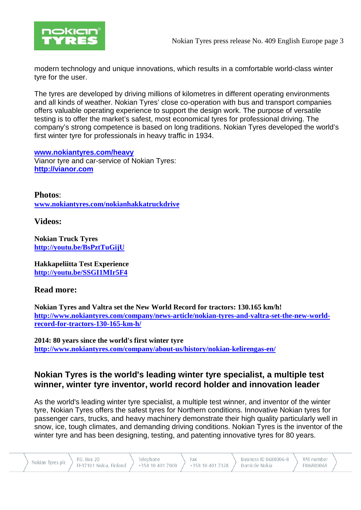

modern technology and unique innovations, which results in a comfortable world-class winter tyre for the user.

The tyres are developed by driving millions of kilometres in different operating environments and all kinds of weather. Nokian Tyres' close co-operation with bus and transport companies offers valuable operating experience to support the design work. The purpose of versatile testing is to offer the market's safest, most economical tyres for professional driving. The company's strong competence is based on long traditions. Nokian Tyres developed the world's first winter tyre for professionals in heavy traffic in 1934.

**[www.nokiantyres.com/heavy](http://www.nokiantyres.com/heavy)** Vianor tyre and car-service of Nokian Tyres: **[http://vianor.com](http://vianor.com/)**

**Photos**: **[www.nokiantyres.com/nokianhakkatruckdrive](http://www.nokiantyres.com/nokianhakkatruckdrive)**

**Videos:**

**Nokian Truck Tyres <http://youtu.be/BsPztTuGijU>**

**Hakkapeliitta Test Experience <http://youtu.be/SSGI1MIr5F4>**

# **Read more:**

**Nokian Tyres and Valtra set the New World Record for tractors: 130.165 km/h! [http://www.nokiantyres.com/company/news-article/nokian-tyres-and-valtra-set-the-new-world](http://www.nokiantyres.com/company/news-article/nokian-tyres-and-valtra-set-the-new-world-record-for-tractors-130-165-km-h/)[record-for-tractors-130-165-km-h/](http://www.nokiantyres.com/company/news-article/nokian-tyres-and-valtra-set-the-new-world-record-for-tractors-130-165-km-h/)**

**2014: 80 years since the world's first winter tyre <http://www.nokiantyres.com/company/about-us/history/nokian-kelirengas-en/>**

# **Nokian Tyres is the world's leading winter tyre specialist, a multiple test winner, winter tyre inventor, world record holder and innovation leader**

As the world's leading winter tyre specialist, a multiple test winner, and inventor of the winter tyre, Nokian Tyres offers the safest tyres for Northern conditions. Innovative Nokian tyres for passenger cars, trucks, and heavy machinery demonstrate their high quality particularly well in snow, ice, tough climates, and demanding driving conditions. Nokian Tyres is the inventor of the winter tyre and has been designing, testing, and patenting innovative tyres for 80 years.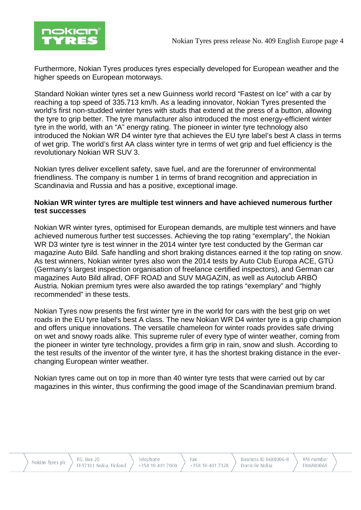

Furthermore, Nokian Tyres produces tyres especially developed for European weather and the higher speeds on European motorways.

Standard Nokian winter tyres set a new Guinness world record "Fastest on Ice" with a car by reaching a top speed of 335.713 km/h. As a leading innovator, Nokian Tyres presented the world's first non-studded winter tyres with studs that extend at the press of a button, allowing the tyre to grip better. The tyre manufacturer also introduced the most energy-efficient winter tyre in the world, with an "A" energy rating. The pioneer in winter tyre technology also introduced the Nokian WR D4 winter tyre that achieves the EU tyre label's best A class in terms of wet grip. The world's first AA class winter tyre in terms of wet grip and fuel efficiency is the revolutionary Nokian WR SUV 3.

Nokian tyres deliver excellent safety, save fuel, and are the forerunner of environmental friendliness. The company is number 1 in terms of brand recognition and appreciation in Scandinavia and Russia and has a positive, exceptional image.

#### **Nokian WR winter tyres are multiple test winners and have achieved numerous further test successes**

Nokian WR winter tyres, optimised for European demands, are multiple test winners and have achieved numerous further test successes. Achieving the top rating "exemplary", the Nokian WR D3 winter tyre is test winner in the 2014 winter tyre test conducted by the German car magazine Auto Bild. Safe handling and short braking distances earned it the top rating on snow. As test winners, Nokian winter tyres also won the 2014 tests by Auto Club Europa ACE, GTÜ (Germany's largest inspection organisation of freelance certified inspectors), and German car magazines Auto Bild allrad, OFF ROAD and SUV MAGAZIN, as well as Autoclub ARBÖ Austria. Nokian premium tyres were also awarded the top ratings "exemplary" and "highly recommended" in these tests.

Nokian Tyres now presents the first winter tyre in the world for cars with the best grip on wet roads in the EU tyre label's best A class. The new Nokian WR D4 winter tyre is a grip champion and offers unique innovations. The versatile chameleon for winter roads provides safe driving on wet and snowy roads alike. This supreme ruler of every type of winter weather, coming from the pioneer in winter tyre technology, provides a firm grip in rain, snow and slush. According to the test results of the inventor of the winter tyre, it has the shortest braking distance in the everchanging European winter weather.

Nokian tyres came out on top in more than 40 winter tyre tests that were carried out by car magazines in this winter, thus confirming the good image of the Scandinavian premium brand.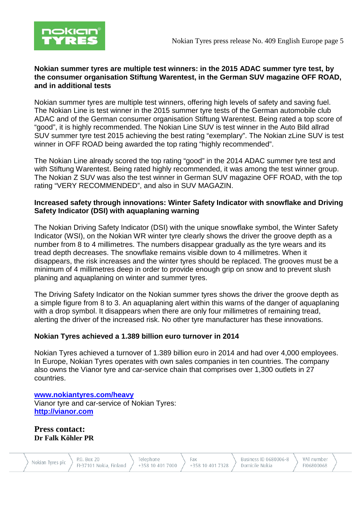

#### **Nokian summer tyres are multiple test winners: in the 2015 ADAC summer tyre test, by the consumer organisation Stiftung Warentest, in the German SUV magazine OFF ROAD, and in additional tests**

Nokian summer tyres are multiple test winners, offering high levels of safety and saving fuel. The Nokian Line is test winner in the 2015 summer tyre tests of the German automobile club ADAC and of the German consumer organisation Stiftung Warentest. Being rated a top score of "good", it is highly recommended. The Nokian Line SUV is test winner in the Auto Bild allrad SUV summer tyre test 2015 achieving the best rating "exemplary". The Nokian zLine SUV is test winner in OFF ROAD being awarded the top rating "highly recommended".

The Nokian Line already scored the top rating "good" in the 2014 ADAC summer tyre test and with Stiftung Warentest. Being rated highly recommended, it was among the test winner group. The Nokian Z SUV was also the test winner in German SUV magazine OFF ROAD, with the top rating "VERY RECOMMENDED", and also in SUV MAGAZIN.

### **Increased safety through innovations: Winter Safety Indicator with snowflake and Driving Safety Indicator (DSI) with aquaplaning warning**

The Nokian Driving Safety Indicator (DSI) with the unique snowflake symbol, the Winter Safety Indicator (WSI), on the Nokian WR winter tyre clearly shows the driver the groove depth as a number from 8 to 4 millimetres. The numbers disappear gradually as the tyre wears and its tread depth decreases. The snowflake remains visible down to 4 millimetres. When it disappears, the risk increases and the winter tyres should be replaced. The grooves must be a minimum of 4 millimetres deep in order to provide enough grip on snow and to prevent slush planing and aquaplaning on winter and summer tyres.

The Driving Safety Indicator on the Nokian summer tyres shows the driver the groove depth as a simple figure from 8 to 3. An aquaplaning alert within this warns of the danger of aquaplaning with a drop symbol. It disappears when there are only four millimetres of remaining tread, alerting the driver of the increased risk. No other tyre manufacturer has these innovations.

## **Nokian Tyres achieved a 1.389 billion euro turnover in 2014**

Nokian Tyres achieved a turnover of 1.389 billion euro in 2014 and had over 4,000 employees. In Europe, Nokian Tyres operates with own sales companies in ten countries. The company also owns the Vianor tyre and car-service chain that comprises over 1,300 outlets in 27 countries.

#### **[www.nokiantyres.com/heavy](http://www.nokiantyres.com/heavy)** Vianor tyre and car-service of Nokian Tyres: **[http://vianor.com](http://vianor.com/)**

**Press contact: Dr Falk Köhler PR**